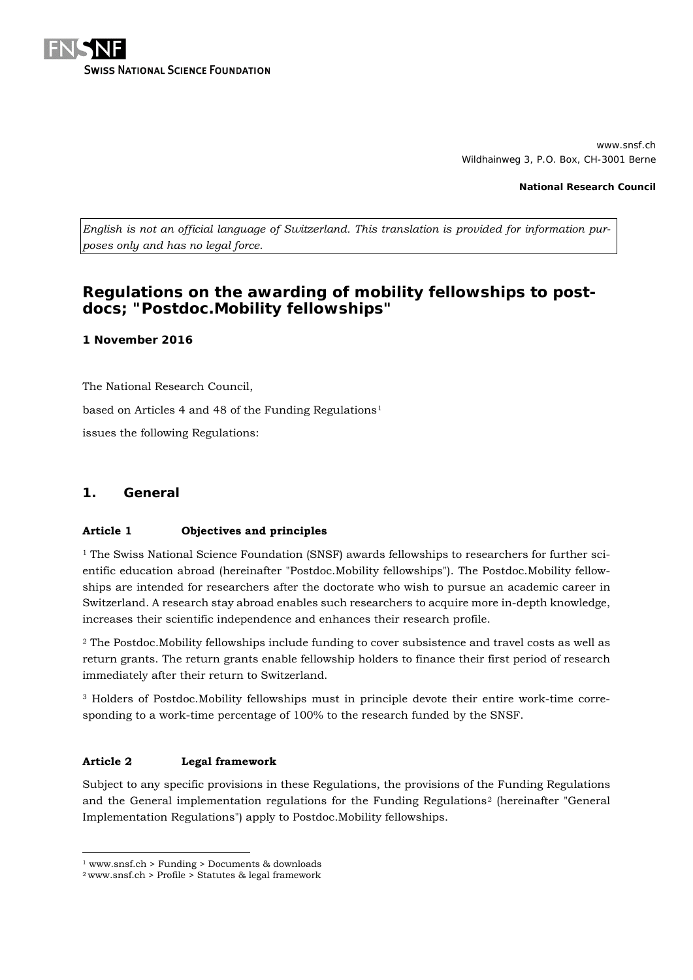

www.snsf.ch Wildhainweg 3, P.O. Box, CH-3001 Berne

**National Research Council**

*English is not an official language of Switzerland. This translation is provided for information purposes only and has no legal force.*

# **Regulations on the awarding of mobility fellowships to postdocs; "Postdoc.Mobility fellowships"**

#### **1 November 2016**

The National Research Council,

based on Articles 4 and 48 of the Funding Regulations<sup>[1](#page-0-0)</sup>

issues the following Regulations:

### **1. General**

#### **Article 1 Objectives and principles**

<sup>1</sup> The Swiss National Science Foundation (SNSF) awards fellowships to researchers for further scientific education abroad (hereinafter "Postdoc.Mobility fellowships"). The Postdoc.Mobility fellowships are intended for researchers after the doctorate who wish to pursue an academic career in Switzerland. A research stay abroad enables such researchers to acquire more in-depth knowledge, increases their scientific independence and enhances their research profile.

<sup>2</sup> The Postdoc.Mobility fellowships include funding to cover subsistence and travel costs as well as return grants. The return grants enable fellowship holders to finance their first period of research immediately after their return to Switzerland.

<sup>3</sup> Holders of Postdoc.Mobility fellowships must in principle devote their entire work-time corresponding to a work-time percentage of 100% to the research funded by the SNSF.

#### **Article 2 Legal framework**

-

Subject to any specific provisions in these Regulations, the provisions of the Funding Regulations and the General implementation regulations for the Funding Regulations[2](#page-0-1) (hereinafter "General Implementation Regulations") apply to Postdoc.Mobility fellowships.

<sup>1</sup> www.snsf.ch > Funding > Documents & downloads

<span id="page-0-1"></span><span id="page-0-0"></span> $2$  www.snsf.ch > Profile > Statutes & legal framework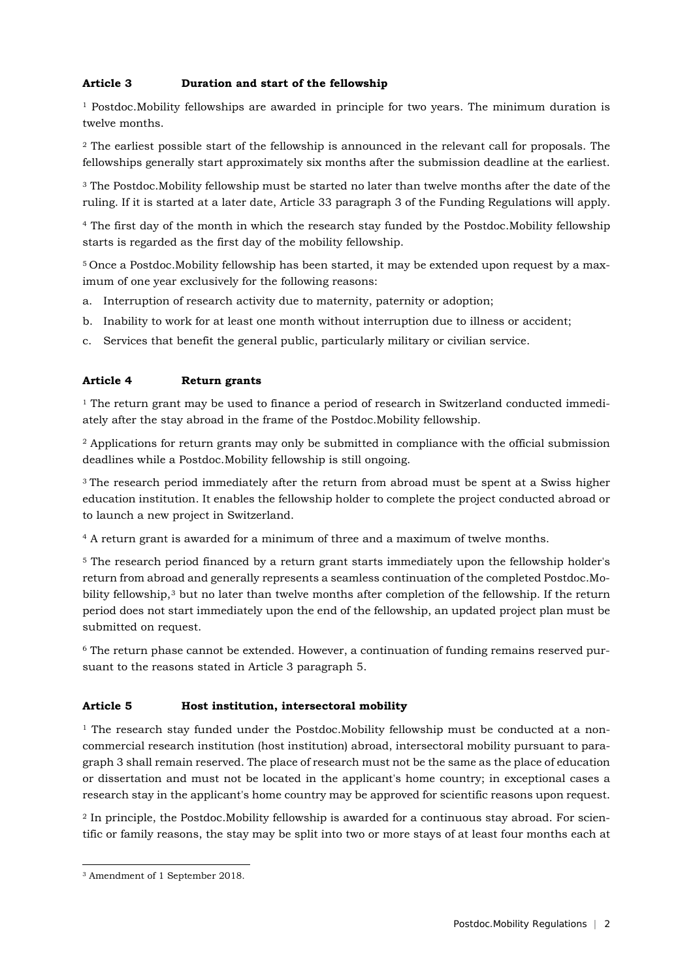## **Article 3 Duration and start of the fellowship**

 $1$  Postdoc. Mobility fellowships are awarded in principle for two years. The minimum duration is twelve months.

<sup>2</sup> The earliest possible start of the fellowship is announced in the relevant call for proposals. The fellowships generally start approximately six months after the submission deadline at the earliest.

<sup>3</sup> The Postdoc.Mobility fellowship must be started no later than twelve months after the date of the ruling. If it is started at a later date, Article 33 paragraph 3 of the Funding Regulations will apply.

<sup>4</sup> The first day of the month in which the research stay funded by the Postdoc.Mobility fellowship starts is regarded as the first day of the mobility fellowship.

5 Once a Postdoc.Mobility fellowship has been started, it may be extended upon request by a maximum of one year exclusively for the following reasons:

- a. Interruption of research activity due to maternity, paternity or adoption;
- b. Inability to work for at least one month without interruption due to illness or accident;
- c. Services that benefit the general public, particularly military or civilian service.

### **Article 4 Return grants**

 $1$  The return grant may be used to finance a period of research in Switzerland conducted immediately after the stay abroad in the frame of the Postdoc.Mobility fellowship.

<sup>2</sup> Applications for return grants may only be submitted in compliance with the official submission deadlines while a Postdoc.Mobility fellowship is still ongoing.

<sup>3</sup> The research period immediately after the return from abroad must be spent at a Swiss higher education institution. It enables the fellowship holder to complete the project conducted abroad or to launch a new project in Switzerland.

<sup>4</sup> A return grant is awarded for a minimum of three and a maximum of twelve months.

<sup>5</sup> The research period financed by a return grant starts immediately upon the fellowship holder's return from abroad and generally represents a seamless continuation of the completed Postdoc.Mo-bility fellowship,<sup>[3](#page-1-0)</sup> but no later than twelve months after completion of the fellowship. If the return period does not start immediately upon the end of the fellowship, an updated project plan must be submitted on request.

<sup>6</sup> The return phase cannot be extended. However, a continuation of funding remains reserved pursuant to the reasons stated in Article 3 paragraph 5.

### **Article 5 Host institution, intersectoral mobility**

<sup>1</sup> The research stay funded under the Postdoc.Mobility fellowship must be conducted at a noncommercial research institution (host institution) abroad, intersectoral mobility pursuant to paragraph 3 shall remain reserved. The place of research must not be the same as the place of education or dissertation and must not be located in the applicant's home country; in exceptional cases a research stay in the applicant's home country may be approved for scientific reasons upon request.

<sup>2</sup> In principle, the Postdoc.Mobility fellowship is awarded for a continuous stay abroad. For scientific or family reasons, the stay may be split into two or more stays of at least four months each at

-

<span id="page-1-0"></span><sup>3</sup> Amendment of 1 September 2018.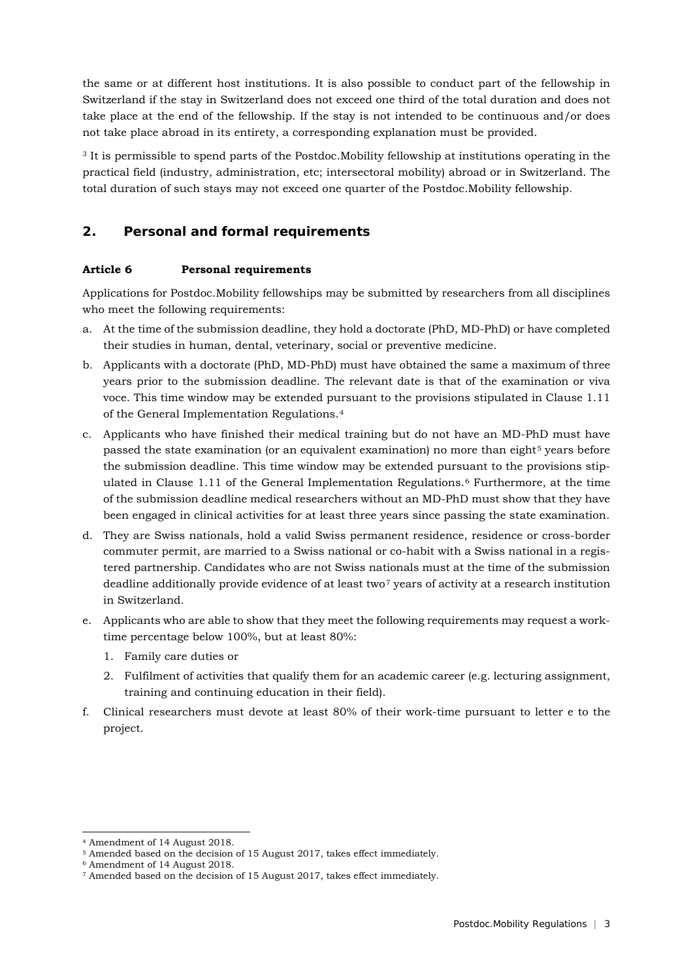the same or at different host institutions. It is also possible to conduct part of the fellowship in Switzerland if the stay in Switzerland does not exceed one third of the total duration and does not take place at the end of the fellowship. If the stay is not intended to be continuous and/or does not take place abroad in its entirety, a corresponding explanation must be provided.

<sup>3</sup> It is permissible to spend parts of the Postdoc.Mobility fellowship at institutions operating in the practical field (industry, administration, etc; intersectoral mobility) abroad or in Switzerland. The total duration of such stays may not exceed one quarter of the Postdoc.Mobility fellowship.

# **2. Personal and formal requirements**

## **Article 6 Personal requirements**

Applications for Postdoc.Mobility fellowships may be submitted by researchers from all disciplines who meet the following requirements:

- a. At the time of the submission deadline, they hold a doctorate (PhD, MD-PhD) or have completed their studies in human, dental, veterinary, social or preventive medicine.
- b. Applicants with a doctorate (PhD, MD-PhD) must have obtained the same a maximum of three years prior to the submission deadline. The relevant date is that of the examination or viva voce. This time window may be extended pursuant to the provisions stipulated in Clause 1.11 of the General Implementation Regulations.[4](#page-2-0)
- c. Applicants who have finished their medical training but do not have an MD-PhD must have passed the state examination (or an equivalent examination) no more than eight<sup>[5](#page-2-1)</sup> years before the submission deadline. This time window may be extended pursuant to the provisions stipulated in Clause 1.11 of the General Implementation Regulations.[6](#page-2-2) Furthermore, at the time of the submission deadline medical researchers without an MD-PhD must show that they have been engaged in clinical activities for at least three years since passing the state examination.
- d. They are Swiss nationals, hold a valid Swiss permanent residence, residence or cross-border commuter permit, are married to a Swiss national or co-habit with a Swiss national in a registered partnership. Candidates who are not Swiss nationals must at the time of the submission deadline additionally provide evidence of at least two<sup>[7](#page-2-3)</sup> years of activity at a research institution in Switzerland.
- e. Applicants who are able to show that they meet the following requirements may request a worktime percentage below 100%, but at least 80%:
	- 1. Family care duties or
	- 2. Fulfilment of activities that qualify them for an academic career (e.g. lecturing assignment, training and continuing education in their field).
- f. Clinical researchers must devote at least 80% of their work-time pursuant to letter e to the project.

<sup>-</sup><sup>4</sup> Amendment of 14 August 2018.

<span id="page-2-1"></span><span id="page-2-0"></span><sup>5</sup> Amended based on the decision of 15 August 2017, takes effect immediately.

<span id="page-2-2"></span><sup>6</sup> Amendment of 14 August 2018.

<span id="page-2-3"></span><sup>7</sup> Amended based on the decision of 15 August 2017, takes effect immediately.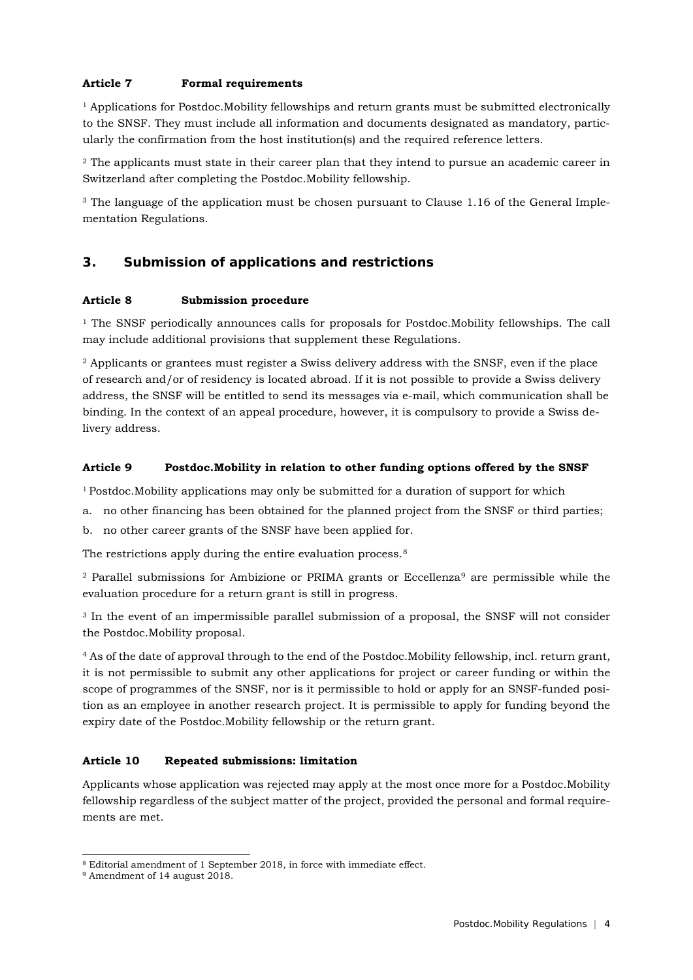## **Article 7 Formal requirements**

<sup>1</sup> Applications for Postdoc.Mobility fellowships and return grants must be submitted electronically to the SNSF. They must include all information and documents designated as mandatory, particularly the confirmation from the host institution(s) and the required reference letters.

<sup>2</sup> The applicants must state in their career plan that they intend to pursue an academic career in Switzerland after completing the Postdoc.Mobility fellowship.

<sup>3</sup> The language of the application must be chosen pursuant to Clause 1.16 of the General Implementation Regulations.

# **3. Submission of applications and restrictions**

### **Article 8 Submission procedure**

<sup>1</sup> The SNSF periodically announces calls for proposals for Postdoc.Mobility fellowships. The call may include additional provisions that supplement these Regulations.

<sup>2</sup> Applicants or grantees must register a Swiss delivery address with the SNSF, even if the place of research and/or of residency is located abroad. If it is not possible to provide a Swiss delivery address, the SNSF will be entitled to send its messages via e-mail, which communication shall be binding. In the context of an appeal procedure, however, it is compulsory to provide a Swiss delivery address.

### **Article 9 Postdoc.Mobility in relation to other funding options offered by the SNSF**

1 Postdoc.Mobility applications may only be submitted for a duration of support for which

- a. no other financing has been obtained for the planned project from the SNSF or third parties;
- b. no other career grants of the SNSF have been applied for.

The restrictions apply during the entire evaluation process.<sup>[8](#page-3-0)</sup>

<sup>2</sup> Parallel submissions for Ambizione or PRIMA grants or Eccellenza[9](#page-3-1) are permissible while the evaluation procedure for a return grant is still in progress.

<sup>3</sup> In the event of an impermissible parallel submission of a proposal, the SNSF will not consider the Postdoc.Mobility proposal.

<sup>4</sup> As of the date of approval through to the end of the Postdoc.Mobility fellowship, incl. return grant, it is not permissible to submit any other applications for project or career funding or within the scope of programmes of the SNSF, nor is it permissible to hold or apply for an SNSF-funded position as an employee in another research project. It is permissible to apply for funding beyond the expiry date of the Postdoc.Mobility fellowship or the return grant.

### **Article 10 Repeated submissions: limitation**

Applicants whose application was rejected may apply at the most once more for a Postdoc.Mobility fellowship regardless of the subject matter of the project, provided the personal and formal requirements are met.

<sup>-</sup><sup>8</sup> Editorial amendment of 1 September 2018, in force with immediate effect.

<span id="page-3-1"></span><span id="page-3-0"></span><sup>9</sup> Amendment of 14 august 2018.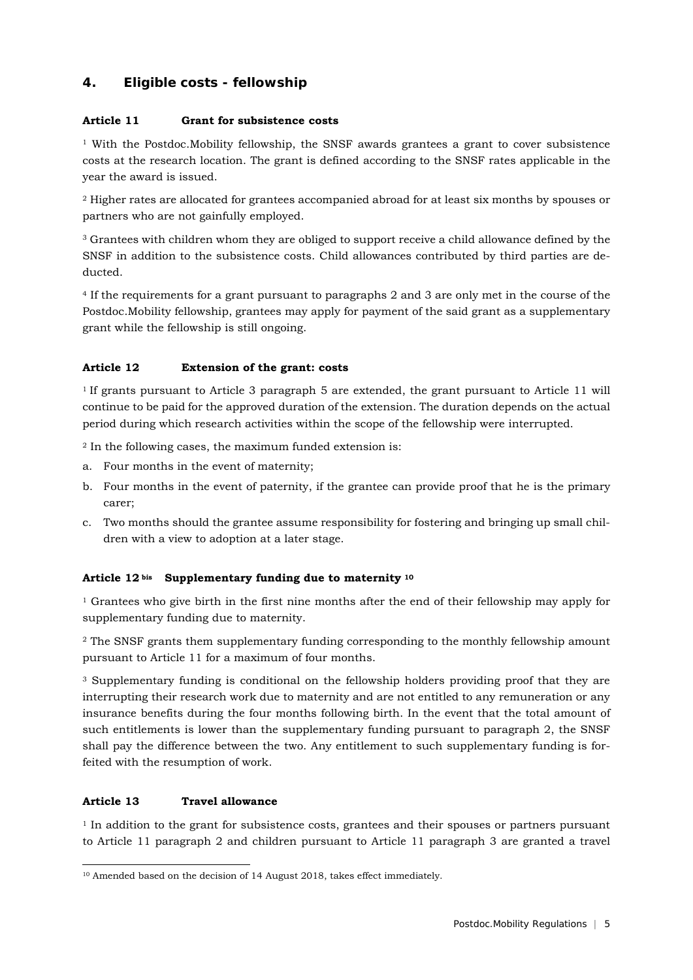## **4. Eligible costs - fellowship**

### **Article 11 Grant for subsistence costs**

<sup>1</sup> With the Postdoc.Mobility fellowship, the SNSF awards grantees a grant to cover subsistence costs at the research location. The grant is defined according to the SNSF rates applicable in the year the award is issued.

<sup>2</sup> Higher rates are allocated for grantees accompanied abroad for at least six months by spouses or partners who are not gainfully employed.

<sup>3</sup> Grantees with children whom they are obliged to support receive a child allowance defined by the SNSF in addition to the subsistence costs. Child allowances contributed by third parties are deducted.

<sup>4</sup> If the requirements for a grant pursuant to paragraphs 2 and 3 are only met in the course of the Postdoc.Mobility fellowship, grantees may apply for payment of the said grant as a supplementary grant while the fellowship is still ongoing.

### **Article 12 Extension of the grant: costs**

1 If grants pursuant to Article 3 paragraph 5 are extended, the grant pursuant to Article 11 will continue to be paid for the approved duration of the extension. The duration depends on the actual period during which research activities within the scope of the fellowship were interrupted.

<sup>2</sup> In the following cases, the maximum funded extension is:

- a. Four months in the event of maternity;
- b. Four months in the event of paternity, if the grantee can provide proof that he is the primary carer;
- c. Two months should the grantee assume responsibility for fostering and bringing up small children with a view to adoption at a later stage.

### **Article 12 bis Supplementary funding due to maternity [10](#page-4-0)**

<sup>1</sup> Grantees who give birth in the first nine months after the end of their fellowship may apply for supplementary funding due to maternity.

<sup>2</sup> The SNSF grants them supplementary funding corresponding to the monthly fellowship amount pursuant to Article 11 for a maximum of four months.

<sup>3</sup> Supplementary funding is conditional on the fellowship holders providing proof that they are interrupting their research work due to maternity and are not entitled to any remuneration or any insurance benefits during the four months following birth. In the event that the total amount of such entitlements is lower than the supplementary funding pursuant to paragraph 2, the SNSF shall pay the difference between the two. Any entitlement to such supplementary funding is forfeited with the resumption of work.

### **Article 13 Travel allowance**

<sup>1</sup> In addition to the grant for subsistence costs, grantees and their spouses or partners pursuant to Article 11 paragraph 2 and children pursuant to Article 11 paragraph 3 are granted a travel

<span id="page-4-0"></span><sup>-</sup><sup>10</sup> Amended based on the decision of 14 August 2018, takes effect immediately.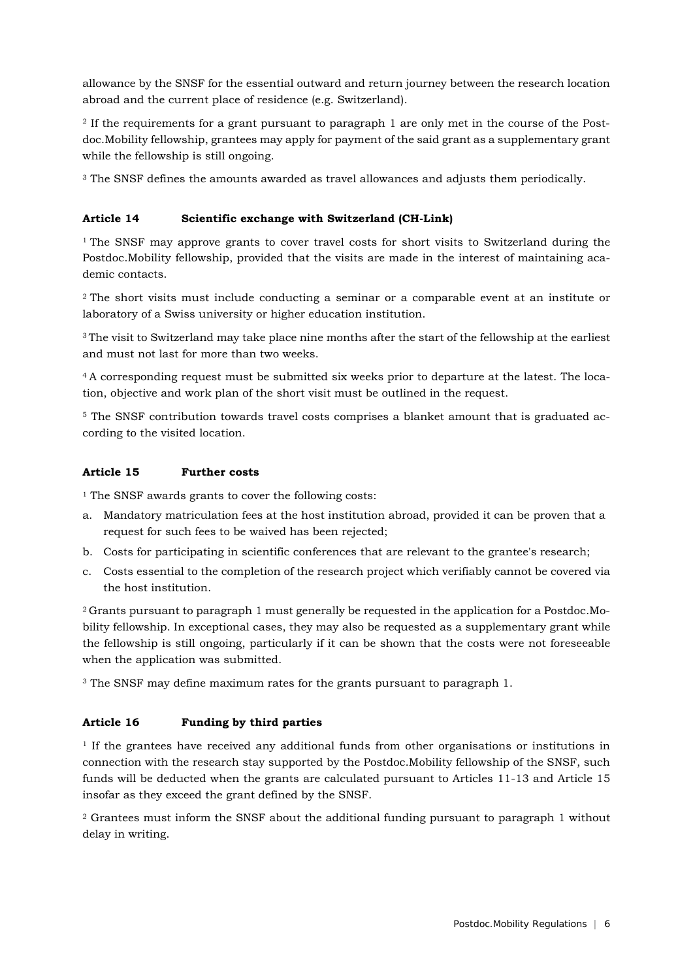allowance by the SNSF for the essential outward and return journey between the research location abroad and the current place of residence (e.g. Switzerland).

<sup>2</sup> If the requirements for a grant pursuant to paragraph 1 are only met in the course of the Postdoc.Mobility fellowship, grantees may apply for payment of the said grant as a supplementary grant while the fellowship is still ongoing.

<sup>3</sup> The SNSF defines the amounts awarded as travel allowances and adjusts them periodically.

#### **Article 14 Scientific exchange with Switzerland (CH-Link)**

<sup>1</sup> The SNSF may approve grants to cover travel costs for short visits to Switzerland during the Postdoc.Mobility fellowship, provided that the visits are made in the interest of maintaining academic contacts.

<sup>2</sup> The short visits must include conducting a seminar or a comparable event at an institute or laboratory of a Swiss university or higher education institution.

<sup>3</sup> The visit to Switzerland may take place nine months after the start of the fellowship at the earliest and must not last for more than two weeks.

4 A corresponding request must be submitted six weeks prior to departure at the latest. The location, objective and work plan of the short visit must be outlined in the request.

<sup>5</sup> The SNSF contribution towards travel costs comprises a blanket amount that is graduated according to the visited location.

#### **Article 15 Further costs**

<sup>1</sup> The SNSF awards grants to cover the following costs:

- a. Mandatory matriculation fees at the host institution abroad, provided it can be proven that a request for such fees to be waived has been rejected;
- b. Costs for participating in scientific conferences that are relevant to the grantee's research;
- c. Costs essential to the completion of the research project which verifiably cannot be covered via the host institution.

2 Grants pursuant to paragraph 1 must generally be requested in the application for a Postdoc.Mobility fellowship. In exceptional cases, they may also be requested as a supplementary grant while the fellowship is still ongoing, particularly if it can be shown that the costs were not foreseeable when the application was submitted.

<sup>3</sup> The SNSF may define maximum rates for the grants pursuant to paragraph 1.

#### **Article 16 Funding by third parties**

<sup>1</sup> If the grantees have received any additional funds from other organisations or institutions in connection with the research stay supported by the Postdoc.Mobility fellowship of the SNSF, such funds will be deducted when the grants are calculated pursuant to Articles 11-13 and Article 15 insofar as they exceed the grant defined by the SNSF.

<sup>2</sup> Grantees must inform the SNSF about the additional funding pursuant to paragraph 1 without delay in writing.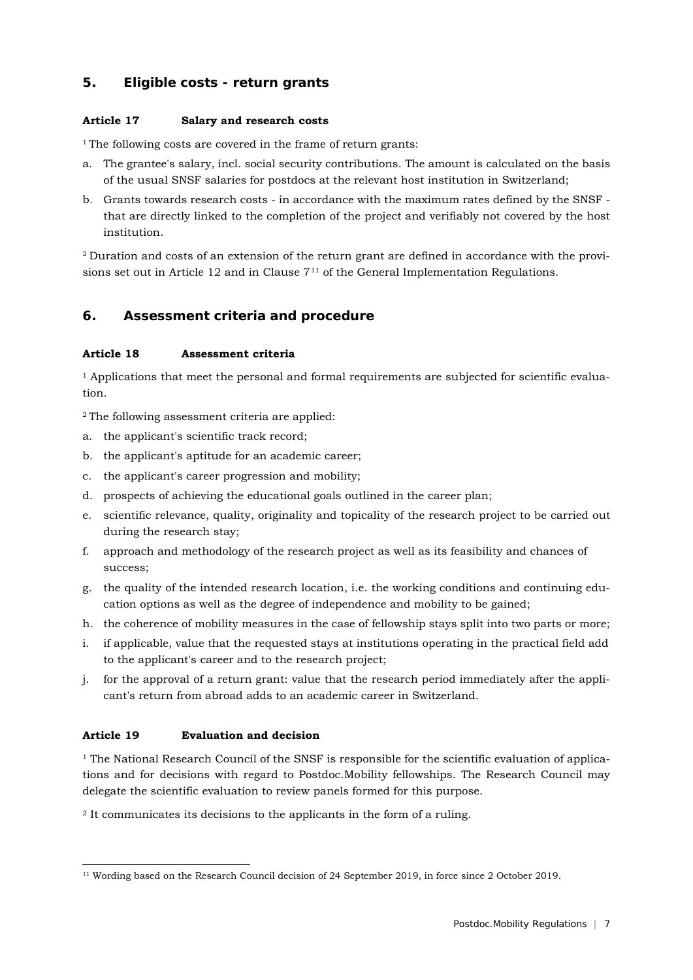## **5. Eligible costs - return grants**

### **Article 17 Salary and research costs**

<sup>1</sup> The following costs are covered in the frame of return grants:

- a. The grantee's salary, incl. social security contributions. The amount is calculated on the basis of the usual SNSF salaries for postdocs at the relevant host institution in Switzerland;
- b. Grants towards research costs in accordance with the maximum rates defined by the SNSF that are directly linked to the completion of the project and verifiably not covered by the host institution.

2 Duration and costs of an extension of the return grant are defined in accordance with the provisions set out in Article 12 and in Clause  $7<sup>11</sup>$  $7<sup>11</sup>$  $7<sup>11</sup>$  of the General Implementation Regulations.

# **6. Assessment criteria and procedure**

## **Article 18 Assessment criteria**

<sup>1</sup> Applications that meet the personal and formal requirements are subjected for scientific evaluation.

2 The following assessment criteria are applied:

- a. the applicant's scientific track record;
- b. the applicant's aptitude for an academic career;
- c. the applicant's career progression and mobility;
- d. prospects of achieving the educational goals outlined in the career plan;
- e. scientific relevance, quality, originality and topicality of the research project to be carried out during the research stay;
- f. approach and methodology of the research project as well as its feasibility and chances of success;
- g. the quality of the intended research location, i.e. the working conditions and continuing education options as well as the degree of independence and mobility to be gained;
- h. the coherence of mobility measures in the case of fellowship stays split into two parts or more;
- i. if applicable, value that the requested stays at institutions operating in the practical field add to the applicant's career and to the research project;
- j. for the approval of a return grant: value that the research period immediately after the applicant's return from abroad adds to an academic career in Switzerland.

## **Article 19 Evaluation and decision**

<sup>1</sup> The National Research Council of the SNSF is responsible for the scientific evaluation of applications and for decisions with regard to Postdoc.Mobility fellowships. The Research Council may delegate the scientific evaluation to review panels formed for this purpose.

<sup>2</sup> It communicates its decisions to the applicants in the form of a ruling.

<span id="page-6-0"></span><sup>-</sup><sup>11</sup> Wording based on the Research Council decision of 24 September 2019, in force since 2 October 2019.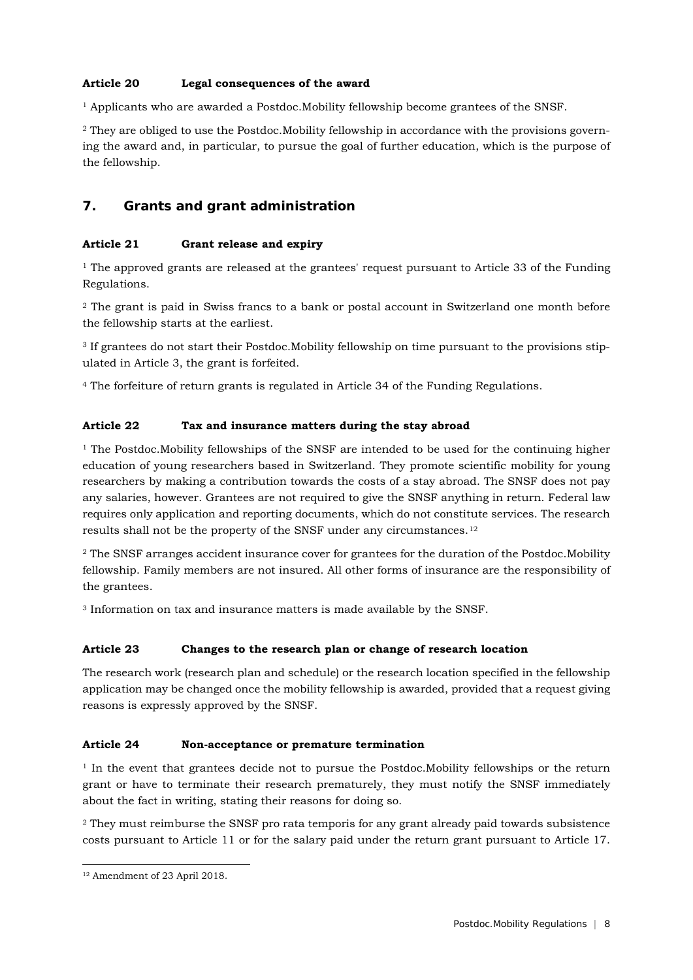## **Article 20 Legal consequences of the award**

 $<sup>1</sup>$  Applicants who are awarded a Postdoc.Mobility fellowship become grantees of the SNSF.</sup>

<sup>2</sup> They are obliged to use the Postdoc. Mobility fellowship in accordance with the provisions governing the award and, in particular, to pursue the goal of further education, which is the purpose of the fellowship.

## **7. Grants and grant administration**

### **Article 21 Grant release and expiry**

<sup>1</sup> The approved grants are released at the grantees' request pursuant to Article 33 of the Funding Regulations.

<sup>2</sup> The grant is paid in Swiss francs to a bank or postal account in Switzerland one month before the fellowship starts at the earliest.

<sup>3</sup> If grantees do not start their Postdoc.Mobility fellowship on time pursuant to the provisions stipulated in Article 3, the grant is forfeited.

<sup>4</sup> The forfeiture of return grants is regulated in Article 34 of the Funding Regulations.

### **Article 22 Tax and insurance matters during the stay abroad**

 $1$  The Postdoc.Mobility fellowships of the SNSF are intended to be used for the continuing higher education of young researchers based in Switzerland. They promote scientific mobility for young researchers by making a contribution towards the costs of a stay abroad. The SNSF does not pay any salaries, however. Grantees are not required to give the SNSF anything in return. Federal law requires only application and reporting documents, which do not constitute services. The research results shall not be the property of the SNSF under any circumstances.[12](#page-7-0)

<sup>2</sup> The SNSF arranges accident insurance cover for grantees for the duration of the Postdoc.Mobility fellowship. Family members are not insured. All other forms of insurance are the responsibility of the grantees.

<sup>3</sup> Information on tax and insurance matters is made available by the SNSF.

### **Article 23 Changes to the research plan or change of research location**

The research work (research plan and schedule) or the research location specified in the fellowship application may be changed once the mobility fellowship is awarded, provided that a request giving reasons is expressly approved by the SNSF.

#### **Article 24 Non-acceptance or premature termination**

 $1$  In the event that grantees decide not to pursue the Postdoc. Mobility fellowships or the return grant or have to terminate their research prematurely, they must notify the SNSF immediately about the fact in writing, stating their reasons for doing so.

<sup>2</sup> They must reimburse the SNSF pro rata temporis for any grant already paid towards subsistence costs pursuant to Article 11 or for the salary paid under the return grant pursuant to Article 17.

-

<span id="page-7-0"></span><sup>12</sup> Amendment of 23 April 2018.